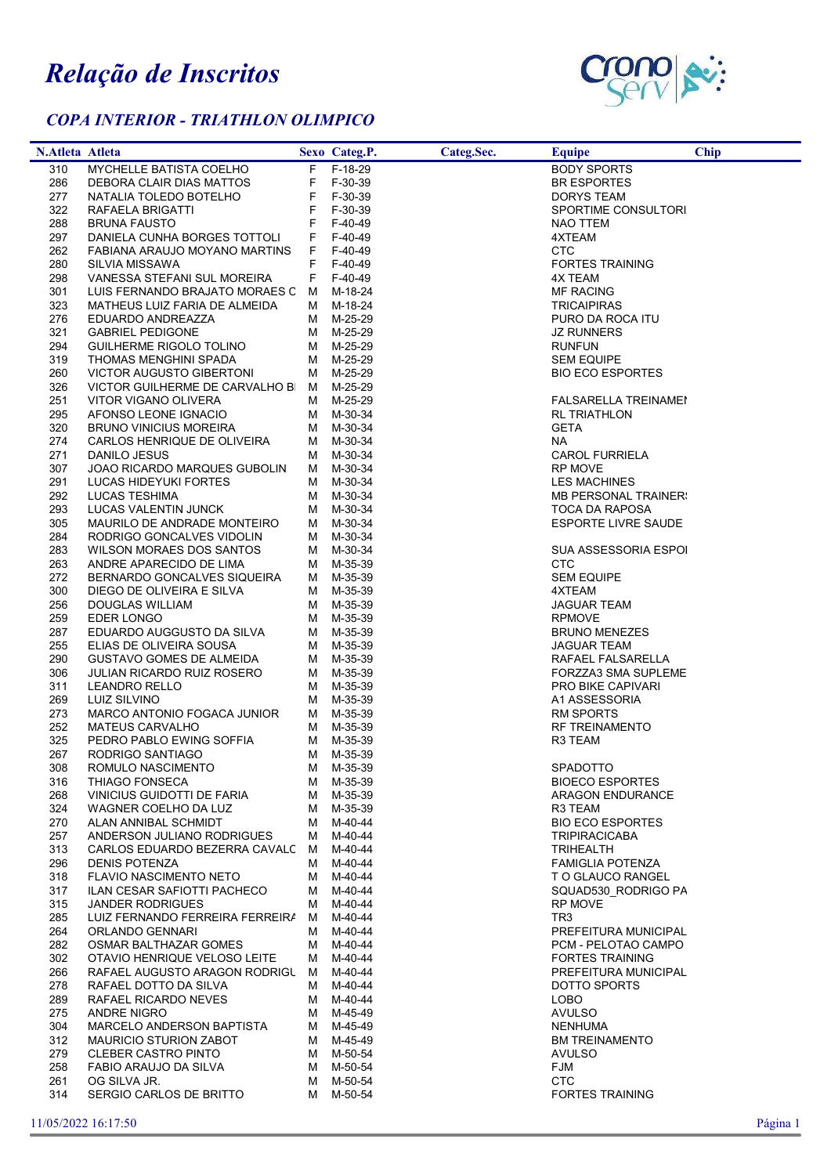## Relação de Inscritos

## COPA INTERIOR - TRIATHLON OLIMPICO



| N.Atleta Atleta |                                                       |    | Sexo Categ.P.          | Categ.Sec. | <b>Equipe</b>               | Chip |
|-----------------|-------------------------------------------------------|----|------------------------|------------|-----------------------------|------|
| 310             | MYCHELLE BATISTA COELHO                               |    | F F-18-29              |            | <b>BODY SPORTS</b>          |      |
| 286             | DEBORA CLAIR DIAS MATTOS                              |    | F F-30-39              |            | <b>BR ESPORTES</b>          |      |
| 277             | NATALIA TOLEDO BOTELHO                                | F. | F-30-39                |            | DORYS TEAM                  |      |
| 322             | RAFAELA BRIGATTI                                      | F. | F-30-39                |            | SPORTIME CONSULTORI         |      |
| 288             | <b>BRUNA FAUSTO</b>                                   | F. | F-40-49                |            | NAO TTEM                    |      |
| 297             | DANIELA CUNHA BORGES TOTTOLI                          | F. | F-40-49                |            | 4XTEAM                      |      |
| 262             | FABIANA ARAUJO MOYANO MARTINS                         | F. | F-40-49                |            | <b>CTC</b>                  |      |
| 280             | SILVIA MISSAWA                                        | F. | F-40-49                |            | <b>FORTES TRAINING</b>      |      |
| 298             | VANESSA STEFANI SUL MOREIRA                           |    | F F-40-49              |            | 4X TEAM                     |      |
| 301             | LUIS FERNANDO BRAJATO MORAES C M M-18-24              |    |                        |            | MF RACING                   |      |
| 323             | MATHEUS LUIZ FARIA DE ALMEIDA                         |    | M M-18-24              |            | <b>TRICAIPIRAS</b>          |      |
| 276             | EDUARDO ANDREAZZA                                     |    | M M-25-29              |            | PURO DA ROCA ITU            |      |
| 321             | <b>GABRIEL PEDIGONE</b>                               |    | M M-25-29              |            | <b>JZ RUNNERS</b>           |      |
| 294             | GUILHERME RIGOLO TOLINO                               |    | M M-25-29              |            | <b>RUNFUN</b>               |      |
| 319             | THOMAS MENGHINI SPADA                                 |    | M M-25-29              |            | <b>SEM EQUIPE</b>           |      |
| 260             | <b>VICTOR AUGUSTO GIBERTONI</b>                       |    | M M-25-29              |            | <b>BIO ECO ESPORTES</b>     |      |
| 326             | VICTOR GUILHERME DE CARVALHO BI M M-25-29             |    |                        |            |                             |      |
| 251             | VITOR VIGANO OLIVERA                                  |    | M M-25-29              |            | <b>FALSARELLA TREINAMEI</b> |      |
| 295             | AFONSO LEONE IGNACIO                                  |    | M M-30-34              |            | <b>RL TRIATHLON</b>         |      |
| 320             | <b>BRUNO VINICIUS MOREIRA</b>                         |    | M M-30-34              |            | <b>GETA</b>                 |      |
| 274             | CARLOS HENRIQUE DE OLIVEIRA                           |    | M M-30-34              |            | <b>NA</b>                   |      |
| 271             | DANILO JESUS                                          |    | M M-30-34              |            | <b>CAROL FURRIELA</b>       |      |
| 307             | JOAO RICARDO MARQUES GUBOLIN                          |    | M M-30-34              |            | <b>RP MOVE</b>              |      |
| 291             | LUCAS HIDEYUKI FORTES                                 |    | M M-30-34              |            | <b>LES MACHINES</b>         |      |
| 292             | LUCAS TESHIMA                                         |    | M M-30-34              |            | <b>MB PERSONAL TRAINER:</b> |      |
| 293             | LUCAS VALENTIN JUNCK                                  |    | M M-30-34              |            | TOCA DA RAPOSA              |      |
| 305<br>284      | MAURILO DE ANDRADE MONTEIRO                           |    | M M-30-34<br>M M-30-34 |            | <b>ESPORTE LIVRE SAUDE</b>  |      |
| 283             | RODRIGO GONCALVES VIDOLIN<br>WILSON MORAES DOS SANTOS |    | M M-30-34              |            | <b>SUA ASSESSORIA ESPOI</b> |      |
| 263             | ANDRE APARECIDO DE LIMA                               |    | M M-35-39              |            | CTC                         |      |
| 272             | BERNARDO GONCALVES SIQUEIRA                           |    | M M-35-39              |            | <b>SEM EQUIPE</b>           |      |
| 300             | DIEGO DE OLIVEIRA E SILVA                             |    | M M-35-39              |            | 4XTEAM                      |      |
| 256             | DOUGLAS WILLIAM                                       |    | M M-35-39              |            | <b>JAGUAR TEAM</b>          |      |
| 259             | EDER LONGO                                            |    | M M-35-39              |            | <b>RPMOVE</b>               |      |
| 287             | EDUARDO AUGGUSTO DA SILVA                             |    | M M-35-39              |            | <b>BRUNO MENEZES</b>        |      |
| 255             | ELIAS DE OLIVEIRA SOUSA                               |    | M M-35-39              |            | <b>JAGUAR TEAM</b>          |      |
| 290             | <b>GUSTAVO GOMES DE ALMEIDA</b>                       |    | M M-35-39              |            | RAFAEL FALSARELLA           |      |
| 306             | JULIAN RICARDO RUIZ ROSERO                            |    | M M-35-39              |            | FORZZA3 SMA SUPLEME         |      |
| 311             | <b>LEANDRO RELLO</b>                                  |    | M M-35-39              |            | PRO BIKE CAPIVARI           |      |
| 269             | LUIZ SILVINO                                          |    | M M-35-39              |            | A1 ASSESSORIA               |      |
| 273             | MARCO ANTONIO FOGACA JUNIOR                           |    | M M-35-39              |            | <b>RM SPORTS</b>            |      |
| 252             | <b>MATEUS CARVALHO</b>                                |    | M M-35-39              |            | <b>RF TREINAMENTO</b>       |      |
| 325<br>267      | PEDRO PABLO EWING SOFFIA                              |    | M M-35-39<br>M M-35-39 |            | R3 TEAM                     |      |
| 308             | RODRIGO SANTIAGO<br>ROMULO NASCIMENTO                 |    | M M-35-39              |            | SPADOTTO                    |      |
| 316             | THIAGO FONSECA                                        |    | M M-35-39              |            | <b>BIOECO ESPORTES</b>      |      |
| 268             | VINICIUS GUIDOTTI DE FARIA                            |    | M M-35-39              |            | <b>ARAGON ENDURANCE</b>     |      |
| 324             | WAGNER COELHO DA LUZ                                  |    | M M-35-39              |            | R3 TEAM                     |      |
| 270             | ALAN ANNIBAL SCHMIDT                                  |    | M M-40-44              |            | <b>BIO ECO ESPORTES</b>     |      |
| 257             | ANDERSON JULIANO RODRIGUES                            |    | M M-40-44              |            | <b>TRIPIRACICABA</b>        |      |
| 313             | CARLOS EDUARDO BEZERRA CAVALC M M-40-44               |    |                        |            | <b>TRIHEALTH</b>            |      |
| 296             | DENIS POTENZA                                         |    | M M-40-44              |            | <b>FAMIGLIA POTENZA</b>     |      |
| 318             | FLAVIO NASCIMENTO NETO                                |    | M M-40-44              |            | T O GLAUCO RANGEL           |      |
| 317             | ILAN CESAR SAFIOTTI PACHECO                           |    | M M-40-44              |            | SQUAD530 RODRIGO PA         |      |
| 315             | <b>JANDER RODRIGUES</b>                               |    | M M-40-44              |            | RP MOVE                     |      |
| 285             | LUIZ FERNANDO FERREIRA FERREIRA M M-40-44             |    |                        |            | TR3                         |      |
| 264             | ORLANDO GENNARI                                       |    | M M-40-44              |            | PREFEITURA MUNICIPAL        |      |
| 282             | OSMAR BALTHAZAR GOMES                                 |    | M M-40-44              |            | PCM - PELOTAO CAMPO         |      |
| 302             | OTAVIO HENRIQUE VELOSO LEITE                          |    | M M-40-44              |            | <b>FORTES TRAINING</b>      |      |
| 266             | RAFAEL AUGUSTO ARAGON RODRIGU                         |    | M M-40-44              |            | PREFEITURA MUNICIPAL        |      |
| 278             | RAFAEL DOTTO DA SILVA                                 |    | M M-40-44              |            | DOTTO SPORTS                |      |
| 289             | RAFAEL RICARDO NEVES                                  |    | M M-40-44              |            | LOBO                        |      |
| 275             | ANDRE NIGRO                                           |    | M M-45-49              |            | <b>AVULSO</b>               |      |
| 304             | MARCELO ANDERSON BAPTISTA                             |    | M M-45-49              |            | <b>NENHUMA</b>              |      |
| 312             | MAURICIO STURION ZABOT                                |    | M M-45-49              |            | <b>BM TREINAMENTO</b>       |      |
| 279             | CLEBER CASTRO PINTO                                   |    | M M-50-54              |            | AVULSO                      |      |
| 258             | FABIO ARAUJO DA SILVA                                 |    | M M-50-54              |            | FJM                         |      |
| 261             | OG SILVA JR.                                          |    | M M-50-54              |            | <b>CTC</b>                  |      |
| 314             | SERGIO CARLOS DE BRITTO                               |    | M M-50-54              |            | <b>FORTES TRAINING</b>      |      |